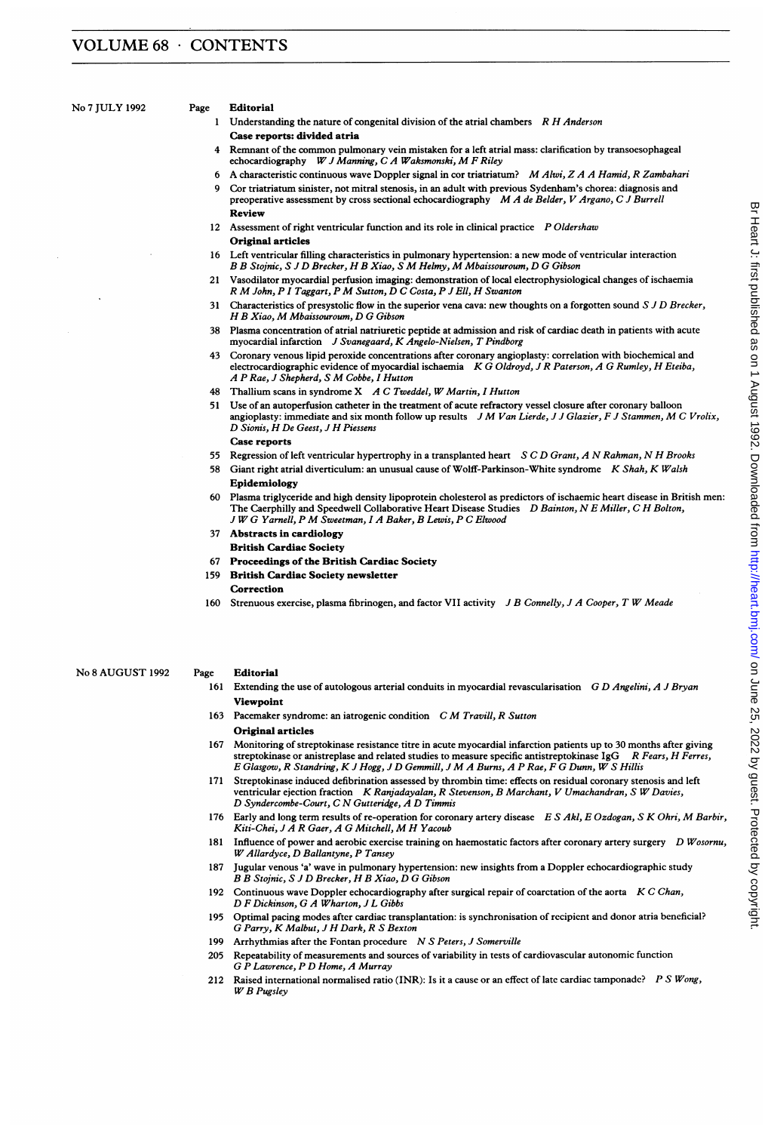No <sup>7</sup> JULY <sup>1992</sup> Page Editorial

- 1 Understanding the nature of congenital division of the atrial chambers  $R$  H Anderson Case reports: divided atria
- 4 Remnant of the common pulmonary vein mistaken for <sup>a</sup> left atrial mass: clarification by transoesophageal echocardiography W J Manning, C A Waksmonski, M F Riley
- <sup>6</sup> <sup>A</sup> characteristic continuous wave Doppler signal in cor triatriatum? MAlwi, <sup>Z</sup> A A Hamid, <sup>R</sup> Zambahari
- 9 Cor triatriatum sinister, not mitral stenosis, in an adult with previous Sydenham's chorea: diagnosis and preoperative assessment by cross sectional echocardiography M A de Belder, V Argano, C J Burrell Review
- 12 Assessment of right ventricular function and its role in clinical practice P Oldershaw Original articles
- 16 Left ventricular filling characteristics in pulmonary hypertension: a new mode of ventricular interaction B B Stojnic, S J D Brecker, H B Xiao, S M Helmy, M Mbaissouroum, D G Gibson
- 21 Vasodilator myocardial perfusion imaging: demonstration of local electrophysiological changes of ischaemia R M John, P I Taggart, P M Sutton, D C Costa, P J Ell, H Swanton
- 31 Characteristics of presystolic flow in the superior vena cava: new thoughts on a forgotten sound S J D Brecker, H B Xiao, M Mbaissouroum, D G Gibson
- 38 Plasma concentration of atrial natriuretic peptide at admission and risk of cardiac death in patients with acute myocardial infarction <sup>J</sup> Svanegaard, K Angelo-Nielsen, T Pindborg
- 43 Coronary venous lipid peroxide concentrations after coronary angioplasty: correlation with biochemical and electrocardiographic evidence of myocardial ischaemia K G Oldroyd, J R Paterson, A G Rumley, H Eteiba, A P Rae, <sup>J</sup> Shepherd, <sup>S</sup> M Cobbe, <sup>1</sup> Hutton
- 48 Thallium scans in syndrome X A C Tweddel, W Martin, I Hutton
- 51 Use of an autoperfusion catheter in the treatment of acute refractory vessel closure after coronary balloon angioplasty: immediate and six month follow up results JM Van Lierde, JJ Glazier, FJ Stammen, M C Vrolix, D Sionis, H De Geest, <sup>J</sup> H Piessens Case reports
- 55 Regression of left ventricular hypertrophy in a transplanted heart S C D Grant, A N Rahman, N H Brooks
- 58 Giant right atrial diverticulum: an unusual cause of Wolff-Parkinson-White syndrome K Shah, K Walsh Epidemiology
- 60 Plasma triglyceride and high density lipoprotein cholesterol as predictors of ischaemic heart disease in British men: The Caerphilly and Speedwell Collaborative Heart Disease Studies D Bainton, N E Miller, C H Bolton, <sup>J</sup> WG Yarnell, <sup>P</sup> M Sweetman, <sup>I</sup> <sup>A</sup> Baker, B Lewis, P C Elwood
- 37 Abstracts in cardiology British Cardiac Society
- 67 Proceedings of the British Cardiac Society
- 159 British Cardiac Society newsletter
	- Correction
- 160 Strenuous exercise, plasma fibrinogen, and factor VII activity J B Connelly, J A Cooper, T W Meade

No <sup>8</sup> AUGUST <sup>1992</sup> Page Editorial

- 161 Extending the use of autologous arterial conduits in myocardial revascularisation G D Angelini, A J Bryan Viewpoint
- 163 Pacemaker syndrome: an iatrogenic condition C M Travill, R Sutton Original articles
- 167 Monitoring of streptokinase resistance titre in acute myocardial infarction patients up to 30 months after giving<br>streptokinase or anistreplase and related studies to measure specific antistreptokinase  $1gG$  R Fears, streptokinase or anistreplase and related studies to measure specific antistreptokinase  $IgG$ <sup>E</sup> Glasgow, <sup>R</sup> Standring, K <sup>J</sup> Hogg, <sup>J</sup> D Gemmill, <sup>J</sup> M A Burns, A P Rae, F G Dunn, W <sup>S</sup> Hillis
- 171 Streptokinase induced defibrination assessed by thrombin time: effects on residual coronary stenosis and left ventricular ejection fraction K Ranjadayalan, R Stevenson, B Marchant, V Umachandran, S W Davies, D Syndercombe-Court, C N Gutteridge, A D Timmis
- 176 Early and long term results of re-operation for coronary artery disease E S Akl, E Ozdogan, S K Ohri, M Barbir, Kiti-Chei, <sup>J</sup> <sup>A</sup> <sup>R</sup> Gaer, <sup>A</sup> G Mitchell, M H Yacoub
- 181 Influence of power and aerobic exercise training on haemostatic factors after coronary artery surgery D Wosornu, WAllardyce, D Ballantyne, P Tansey
- 187 Jugular venous 'a' wave in pulmonary hypertension: new insights from a Doppler echocardiographic study B B Stojnic, S <sup>J</sup> D Brecker, H B Xiao, D G Gibson
- 192 Continuous wave Doppler echocardiography after surgical repair of coarctation of the aorta  $K C$  Chan, D F Dickinson, G A Wharton, J L Gibbs
- 195 Optimal pacing modes after cardiac transplantation: is synchronisation of recipient and donor atria beneficial? G Parry, K Malbut, <sup>J</sup> H Dark, R <sup>S</sup> Bexton
- 199 Arrhythmias after the Fontan procedure N S Peters, J Somerville
- 205 Repeatability of measurements and sources of variability in tests of cardiovascular autonomic function G P Lawrence, P D Home, A Murray
- 212 Raised international normalised ratio (INR): Is it a cause or an effect of late cardiac tamponade? P S Wong, WB Pugsley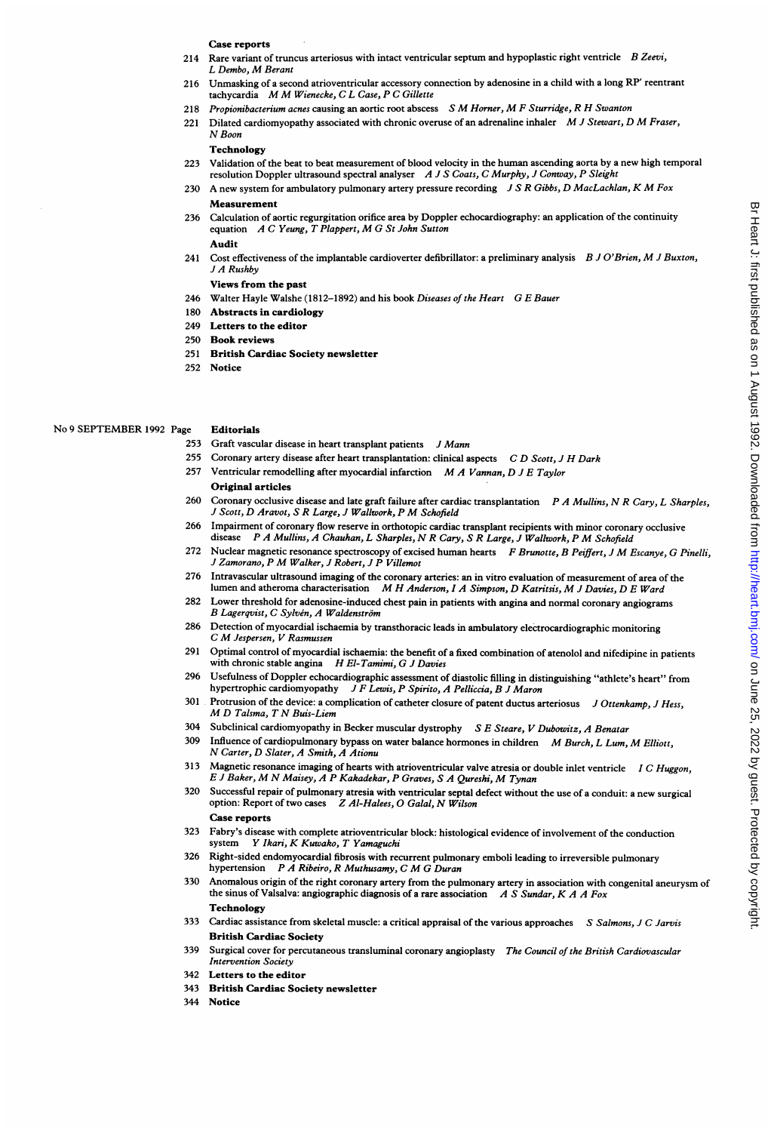# Case reports

- 214 Rare variant of truncus arteriosus with intact ventricular septum and hypoplastic right ventricle  $B$  Zeevi, <sup>L</sup> Dembo, M Berant
- 216 Unmasking of <sup>a</sup> second atrioventricular accessory connection by adenosine in a child with a long RP' reentrant tachycardia M M Wienecke, C <sup>L</sup> Case, <sup>P</sup> <sup>C</sup> Gillette
- <sup>218</sup> Propionibacterium acnes causing an aortic root abscess <sup>S</sup> M Horner, M <sup>F</sup> Sturridge, <sup>R</sup> H Swanton
- 221 Dilated cardiomyopathy associated with chronic overuse of an adrenaline inhaler M J Stewart, D M Fraser, N Boon

# **Technology**

- 223 Validation of the beat to beat measurement of blood velocity in the human ascending aorta by <sup>a</sup> new high temporal resolution Doppler ultrasound spectral analyser A J S Coats, C Murphy, J Conway, P Sleight
- A new system for ambulatory pulmonary artery pressure recording J S R Gibbs, D MacLachlan, K M Fox Measurement
- 236 Calculation of aortic regurgitation orifice area by Doppler echocardiography: an application of the continuity equation <sup>A</sup> <sup>C</sup> Yeung, <sup>T</sup> Plappert, M G St John Sutton Audit
- 241 Cost effectiveness of the implantable cardioverter defibrillator: a preliminary analysis  $B$  J O'Brien, M J Buxton, J A Rushby

# Views from the past

- 246 Walter Hayle Walshe (1812-1892) and his book Diseases of the Heart G E Bauer
- 180 Abstracts in cardiology
- 249 Letters to the editor
- 250 Book reviews
- 251 British Cardiac Society newsletter
- 252 Notice

# No <sup>9</sup> SEPTEMBER <sup>1992</sup> Page Editorials

- 253 Graft vascular disease in heart transplant patients J Mann
- 255 Coronary artery disease after heart transplantation: clinical aspects  $CD$  Scott, J H Dark
- 257 Ventricular remodelling after myocardial infarction  $M A Vannan, D J E Taylor$ Original articles
- 260 Coronary occlusive disease and late graft failure after cardiac transplantation  $P A$  Mullins, N R Cary, L Sharples, <sup>J</sup> Scott, D Aravot, <sup>S</sup> <sup>R</sup> Large, <sup>J</sup> Wallwork, <sup>P</sup> M Schofield
- 266 Impairment of coronary flow reserve in orthotopic cardiac transplant recipients with minor coronary occlusive disease  $P \land \textit{A}$  Mullins, A Chauhan, I. Sharples, N R Cary, S R Large, I Wallywork  $P \land \textit{Schofeld}$ P A Mullins, A Chauhan, L Sharples, N R Cary, S R Large, J Wallwork, P M Schofield
- 272 Nuclear magnetic resonance spectroscopy of excised human hearts F Brunotte, B Peiffert, J M Escanye, G Pinelli, <sup>J</sup> Zamorano, <sup>P</sup> M Walker, <sup>J</sup> Robert, <sup>J</sup> <sup>P</sup> Villemot
- 276 Intravascular ultrasound imaging of the coronary arteries: an in vitro evaluation of measurement of area of the lumen and atheroma characterisation M H Anderson, I A Simpson, D Katritsis, M J Davies, D E Ward
- 282 Lower threshold for adenosine-induced chest pain in patients with angina and normal coronary angiograms B Lagerqvist, C Sylvén, A Waldenström
- 286 Detection of myocardial ischaemia by transthoracic leads in ambulatory electrocardiographic monitoring <sup>C</sup> M Jespersen, <sup>V</sup> Rasmussen
- 291 Optimal control of myocardial ischaemia: the benefit of a fixed combination of atenolol and nifedipine in patients with chronic stable angina H El-Tamimi, G J Davies
- 296 Usefulness of Doppler echocardiographic assessment of diastolic filling in distinguishing "athlete's heart" from hypertrophic cardiomyopathy J F Lewis, P Spirito, A Pelliccia, B J Maron
- 301 Protrusion of the device: a complication of catheter closure of patent ductus arteriosus J Ottenkamp, J Hess, M D Talsma, <sup>T</sup> N Buis-Liem
- 304 Subclinical cardiomyopathy in Becker muscular dystrophy S E Steare, V Dubowitz, A Benatar
- 309 Influence of cardiopulmonary bypass on water balance hormones in children M Burch, L Lum, M Elliott, N Carter, D Slater, A Smith, A Ationu
- 313 Magnetic resonance imaging of hearts with atrioventricular valve atresia or double inlet ventricle I C Huggon, <sup>E</sup> <sup>J</sup> Baker, M N Maisey, <sup>A</sup> <sup>P</sup> Kakadekar, <sup>P</sup> Graves, <sup>S</sup> <sup>A</sup> Qureshi, M Tynan
- 320 Successful repair of pulmonary atresia with ventricular septal defect without the use of a conduit: a new surgical option: Report of two cases Z Al-Halees, O Galal, N Wilson Case reports
- 323 Fabry's disease with complete atrioventricular block: histological evidence of involvement of the conduction system Y Ikari, K Kuwako, T Yamaguchi
- 326 Right-sided endomyocardial fibrosis with recurrent pulmonary emboli leading to irreversible pulmonary hypertension P A Ribeiro, <sup>R</sup> Muthusamy, C M G Duran
- 330 Anomalous origin of the right coronary artery from the pulmonary artery in association with congenital aneurysm of the sinus of Valsalva: angiographic diagnosis of a rare association  $A S S undar, K A A Fox$ Technology
- 333 Cardiac assistance from skeletal muscle: a critical appraisal of the various approaches S Salmons, J C Jarvis British Cardiac Society
- 339 Surgical cover for percutaneous transluminal coronary angioplasty The Council of the British Cardiovascular Intervention Society
- 342 Letters to the editor
- 343 British Cardiac Society newsletter
- 344 Notice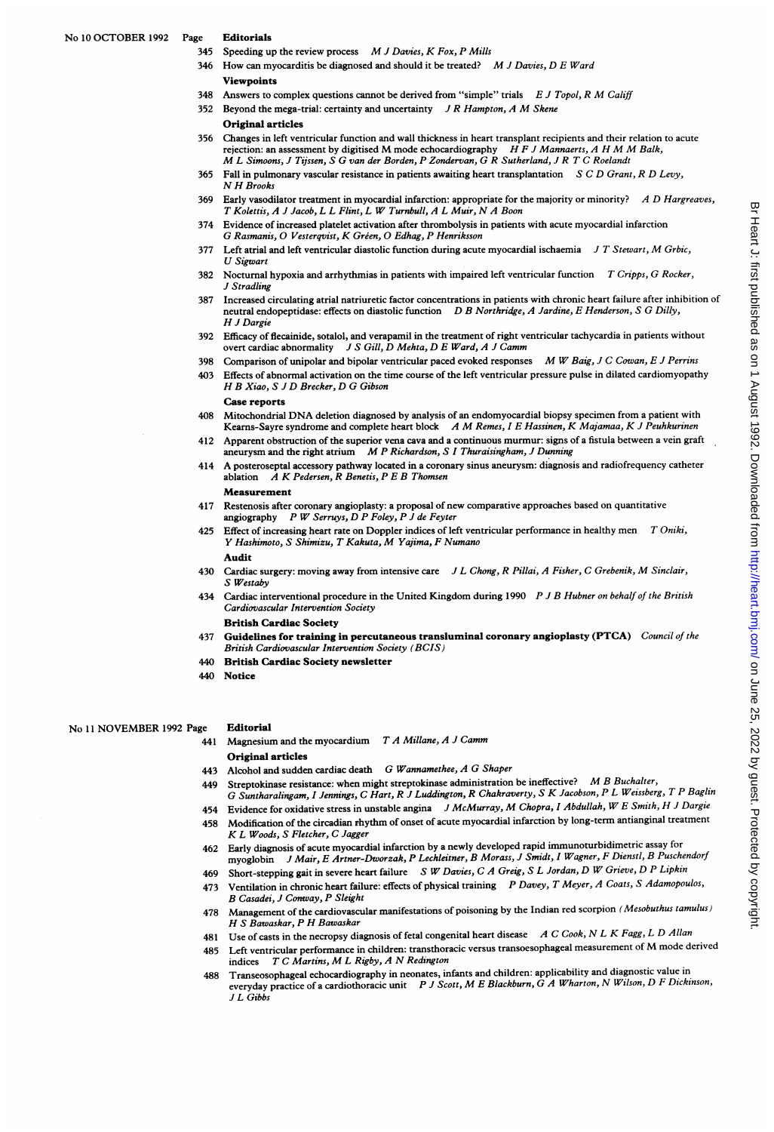- 345 Speeding up the review process M J Davies, K Fox, P Mills
- <sup>1</sup> How can myocarditis be diagnosed and should it be treated? M J Davies, D E Ward **Viewpoints**
- 348 Answers to complex questions cannot be derived from "simple" trials  $E J Topol, R M Califf$
- 352 Beyond the mega-trial: certainty and uncertainty  $J R$  Hampton, A M Skene
- Original articles
- 356 Changes in left ventricular function and wall thickness in heart transplant recipients and their relation to acute ediatives in terreturn relation and wan interfaces in item changinal receptents and their relation rejection: an assessment by digitised M mode echocardiography H F J Mannaerts, A H M M Balk, M <sup>L</sup> Simoons, <sup>J</sup> Tijssen, <sup>S</sup> G van der Borden, <sup>P</sup> Zondervan, G <sup>R</sup> Sutherland, <sup>J</sup> <sup>R</sup> <sup>T</sup> C Roelandt
- 365 Fall in pulmonary vascular resistance in patients awaiting heart transplantation  $S C D Grant, R D Levy$ , N H Brooks
- 369 Early vasodilator treatment in myocardial infarction: appropriate for the majority or minority? A D Hargreaves, <sup>T</sup> Kolettis, A <sup>J</sup> Jacob, <sup>L</sup> <sup>L</sup> Flint, <sup>L</sup> W Turnbull, A <sup>L</sup> Muir, N A Boon
- 374 Evidence of increased platelet activation after thrombolysis in patients with acute myocardial infarction G Rasmanis, O Vesterqvist, K Gréen, O Edhag, P Henriksson
- 377 Left atrial and left ventricular diastolic function during acute myocardial ischaemia  $J T$  Stewart, M Grbic, U Sigwart
- 382 Nocturnal hypoxia and arrhythmias in patients with impaired left ventricular function T Cripps, G Rocker, J Stradling
- 387 Increased circulating atrial natriuretic factor concentrations in patients with chronic heart failure after inhibition of neutral endopeptidase: effects on diastolic function D B Northridge, A Jardine, E Henderson, S G Dilly, H <sup>J</sup> Dargie
- 392 Efficacy of flecainide, sotalol, and verapamil in the treatment of right ventricular tachycardia in patients without overt cardiac abnormality J S Gill, D Mehta, D E Ward, A J Camm
- 398 Comparison of unipolar and bipolar ventricular paced evoked responses M W Baig, J C Cowan, E J Perrins
- 403 Effects of abnormal activation on the time course of the left ventricular pressure pulse in dilated cardiomyopathy H B Xiao, <sup>S</sup> <sup>J</sup> D Brecker, D G Gibson

Case reports

- <sup>408</sup> Mitochondrial DNA deletion diagnosed by analysis of an endomyocardial biopsy specimen from <sup>a</sup> patient with Kearns-Sayre syndrome and complete heart block A M Remes, I E Hassinen, K Majamaa, K J Peuhkurinen
- 412 Apparent obstruction of the superior vena cava and a continuous murmur: signs of <sup>a</sup> fistula between <sup>a</sup> vein graft aneurysm and the right atrium M P Richardson, S I Thuraisingham, J Dunning
- <sup>414</sup> A posteroseptal accessory pathway located in <sup>a</sup> coronary sinus aneurysm: diagnosis and radiofrequency catheter ablation  $A K$  Pedersen, R Benetis, P E B Thomsen Measurement
- 417 Restenosis after coronary angioplasty: <sup>a</sup> proposal of new comparative approaches based on quantitative angiography  $P$  W Serruys,  $D$   $P$  Foley,  $P$   $J$  de Feyter
- 425 Effect of increasing heart rate on Doppler indices of left ventricular performance in healthy men T Oniki, <sup>Y</sup> Hashimoto, <sup>S</sup> Shimizu, <sup>T</sup> Kakuta, M Yajima, F Numano

Audit

- 430 Cardiac surgery: moving away from intensive care JL Chong, R Pillai, A Fisher, C Grebenik, M Sinclair, S Westaby
- 434 Cardiac interventional procedure in the United Kingdom during 1990 P J B Hubner on behalf of the British Cardiovascular Intervention Society

British Cardiac Society

- 437 Guidelines for training in percutaneous transluminal coronary angioplasty (PTCA) Council of the British Cardiovascular Intervention Society (BCIS)
- 440 British Cardiac Society newsletter
- 440 Notice

No <sup>11</sup> NOVEMBER <sup>1992</sup> Page Editorial

- 441 Magnesium and the myocardium  $T A$  Millane, A J Camm Original articles
- 443 Alcohol and sudden cardiac death G Wannamethee, A G Shaper
- 449 Streptokinase resistance: when might streptokinase administration be ineffective? M B Buchalter,
- G Suntharalingam, <sup>I</sup> Jennings, C Hart, R <sup>J</sup> Luddington, R Chakraverty, <sup>S</sup> K Jacobson, P <sup>L</sup> Weissberg, <sup>T</sup> P Baglin
- 454 Evidence for oxidative stress in unstable angina J McMurray, M Chopra, I Abdullah, W E Smith, H J Dargie 458 Modification of the circadian rhythm of onset of acute myocardial infarction by long-term antianginal treatment
- K L Woods, S Fletcher, C Jagger 462 Early diagnosis of acute myocardial infarction by a newly developed rapid immunoturbidimetric assay for myoglobin <sup>J</sup> Mair, E Artner-Dworzak, P Leckleitner, B Morass, <sup>J</sup> Smidt, <sup>I</sup> Wagner, F Dienstl, B Puschendorf
- 469 Short-stepping gait in severe heart failure SW Davies, C A Greig, S L Jordan, D W Grieve, D P Lipkin
- 473 Ventilation in chronic heart failure: effects of physical training P Davey, T Meyer, A Coats, S Adamopoulos, B Casadei, J Conway, P Sleight
- 478 Management of the cardiovascular manifestations of poisoning by the Indian red scorpion (Mesobuthus tamulus) H S Bawaskar, P H Bawaskar
- 481 Use of casts in the necropsy diagnosis of fetal congenital heart disease A C Cook, N L K Fagg, L D Allan
- <sup>485</sup> Left ventricular performance in children: transthoracic versus transoesophageal measurement of M mode derived indices <sup>T</sup> <sup>C</sup> Martins, M <sup>L</sup> Rigby, <sup>A</sup> N Redington
- 488 Transeosophageal echocardiography in neonates, infants and children: applicability and diagnostic value in everyday practice of a cardiothoracic unit P J Scott, M E Blackburn, G A Wharton, N Wilson, D F Dickinson, J L Gibbs